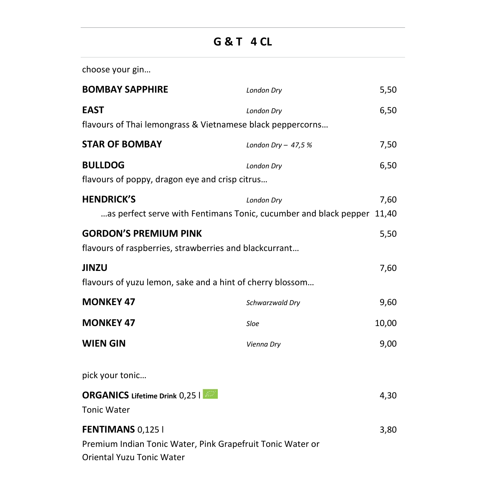## **G & T 4 CL**

choose your gin…

| <b>BOMBAY SAPPHIRE</b>                                                                                              | <b>London Dry</b>   | 5,50          |
|---------------------------------------------------------------------------------------------------------------------|---------------------|---------------|
| <b>EAST</b><br>flavours of Thai lemongrass & Vietnamese black peppercorns                                           | London Dry          | 6,50          |
| <b>STAR OF BOMBAY</b>                                                                                               | London Dry $-47.5%$ | 7,50          |
| <b>BULLDOG</b><br>flavours of poppy, dragon eye and crisp citrus                                                    | London Dry          | 6,50          |
| <b>HENDRICK'S</b><br>as perfect serve with Fentimans Tonic, cucumber and black pepper                               | <b>London Dry</b>   | 7,60<br>11.40 |
| <b>GORDON'S PREMIUM PINK</b><br>flavours of raspberries, strawberries and blackcurrant                              |                     | 5,50          |
| <b>JINZU</b><br>flavours of yuzu lemon, sake and a hint of cherry blossom                                           |                     | 7,60          |
| <b>MONKEY 47</b>                                                                                                    | Schwarzwald Dry     | 9,60          |
| <b>MONKEY 47</b>                                                                                                    | Sloe                | 10,00         |
| <b>WIEN GIN</b>                                                                                                     | Vienna Dry          | 9,00          |
| pick your tonic                                                                                                     |                     |               |
| <b>ORGANICS</b> Lifetime Drink 0,25  <br><b>Tonic Water</b>                                                         |                     | 4,30          |
| FENTIMANS 0,125 I<br>Premium Indian Tonic Water, Pink Grapefruit Tonic Water or<br><b>Oriental Yuzu Tonic Water</b> |                     | 3,80          |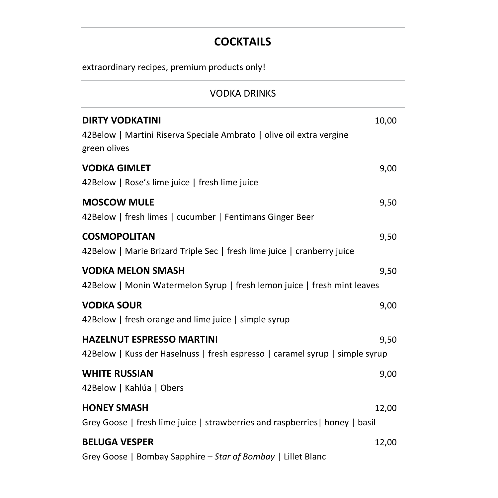## **COCKTAILS**

| <b>VODKA DRINKS</b>                                                                                              |       |
|------------------------------------------------------------------------------------------------------------------|-------|
| <b>DIRTY VODKATINI</b><br>42Below   Martini Riserva Speciale Ambrato   olive oil extra vergine<br>green olives   | 10,00 |
| <b>VODKA GIMLET</b><br>42Below   Rose's lime juice   fresh lime juice                                            | 9,00  |
| <b>MOSCOW MULE</b><br>42Below   fresh limes   cucumber   Fentimans Ginger Beer                                   | 9,50  |
| <b>COSMOPOLITAN</b><br>42Below   Marie Brizard Triple Sec   fresh lime juice   cranberry juice                   | 9,50  |
| <b>VODKA MELON SMASH</b><br>42Below   Monin Watermelon Syrup   fresh lemon juice   fresh mint leaves             | 9,50  |
| <b>VODKA SOUR</b><br>42Below   fresh orange and lime juice   simple syrup                                        | 9,00  |
| <b>HAZELNUT ESPRESSO MARTINI</b><br>42Below   Kuss der Haselnuss   fresh espresso   caramel syrup   simple syrup | 9,50  |
| <b>WHITE RUSSIAN</b><br>42Below   Kahlúa   Obers                                                                 | 9,00  |
| <b>HONEY SMASH</b><br>Grey Goose   fresh lime juice   strawberries and raspberries   honey   basil               | 12,00 |
| <b>BELUGA VESPER</b><br>Grey Goose   Bombay Sapphire - Star of Bombay   Lillet Blanc                             | 12,00 |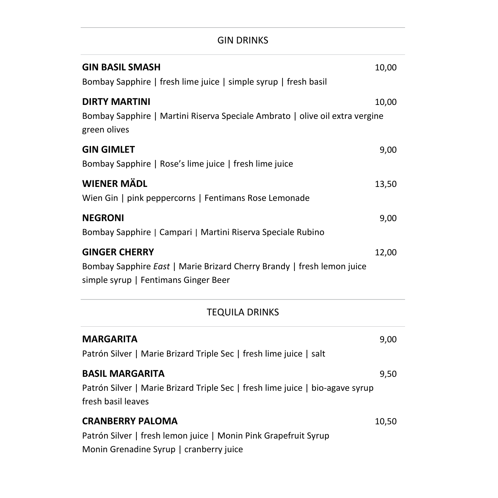## GIN DRINKS

| <b>GIN BASIL SMASH</b><br>Bombay Sapphire   fresh lime juice   simple syrup   fresh basil                                              | 10,00 |
|----------------------------------------------------------------------------------------------------------------------------------------|-------|
| <b>DIRTY MARTINI</b><br>Bombay Sapphire   Martini Riserva Speciale Ambrato   olive oil extra vergine<br>green olives                   | 10,00 |
| <b>GIN GIMLET</b><br>Bombay Sapphire   Rose's lime juice   fresh lime juice                                                            | 9,00  |
| <b>WIENER MÄDL</b><br>Wien Gin   pink peppercorns   Fentimans Rose Lemonade                                                            | 13,50 |
| <b>NEGRONI</b><br>Bombay Sapphire   Campari   Martini Riserva Speciale Rubino                                                          | 9,00  |
| <b>GINGER CHERRY</b><br>Bombay Sapphire East   Marie Brizard Cherry Brandy   fresh lemon juice<br>simple syrup   Fentimans Ginger Beer | 12,00 |

## TEQUILA DRINKS

| <b>MARGARITA</b>                                                              | 9,00  |
|-------------------------------------------------------------------------------|-------|
| Patrón Silver   Marie Brizard Triple Sec   fresh lime juice   salt            |       |
| <b>BASIL MARGARITA</b>                                                        | 9,50  |
| Patrón Silver   Marie Brizard Triple Sec   fresh lime juice   bio-agave syrup |       |
| fresh basil leaves                                                            |       |
| <b>CRANBERRY PALOMA</b>                                                       | 10,50 |
| Patrón Silver   fresh lemon juice   Monin Pink Grapefruit Syrup               |       |
| Monin Grenadine Syrup   cranberry juice                                       |       |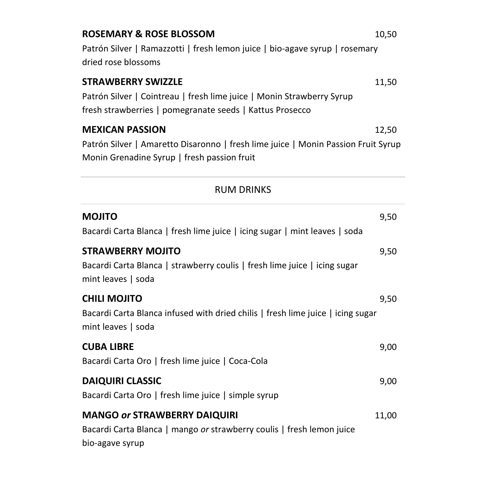| <b>ROSEMARY &amp; ROSE BLOSSOM</b>                                                                                                                             | 10,50 |
|----------------------------------------------------------------------------------------------------------------------------------------------------------------|-------|
| Patrón Silver   Ramazzotti   fresh lemon juice   bio-agave syrup   rosemary<br>dried rose blossoms                                                             |       |
| <b>STRAWBERRY SWIZZLE</b><br>Patrón Silver   Cointreau   fresh lime juice   Monin Strawberry Syrup<br>fresh strawberries   pomegranate seeds   Kattus Prosecco | 11,50 |
| <b>MEXICAN PASSION</b>                                                                                                                                         | 12.50 |

Patrón Silver | Amaretto Disaronno | fresh lime juice | Monin Passion Fruit Syrup Monin Grenadine Syrup | fresh passion fruit

## RUM DRINKS

| <b>MOJITO</b><br>Bacardi Carta Blanca   fresh lime juice   icing sugar   mint leaves   soda                                     | 9,50  |
|---------------------------------------------------------------------------------------------------------------------------------|-------|
| <b>STRAWBERRY MOJITO</b><br>Bacardi Carta Blanca   strawberry coulis   fresh lime juice   icing sugar<br>mint leaves   soda     | 9,50  |
| <b>CHILI MOJITO</b><br>Bacardi Carta Blanca infused with dried chilis   fresh lime juice   icing sugar<br>mint leaves   soda    | 9,50  |
| <b>CUBA LIBRE</b><br>Bacardi Carta Oro   fresh lime juice   Coca-Cola                                                           | 9,00  |
| <b>DAIQUIRI CLASSIC</b><br>Bacardi Carta Oro   fresh lime juice   simple syrup                                                  | 9,00  |
| <b>MANGO or STRAWBERRY DAIQUIRI</b><br>Bacardi Carta Blanca   mango or strawberry coulis   fresh lemon juice<br>bio-agave syrup | 11,00 |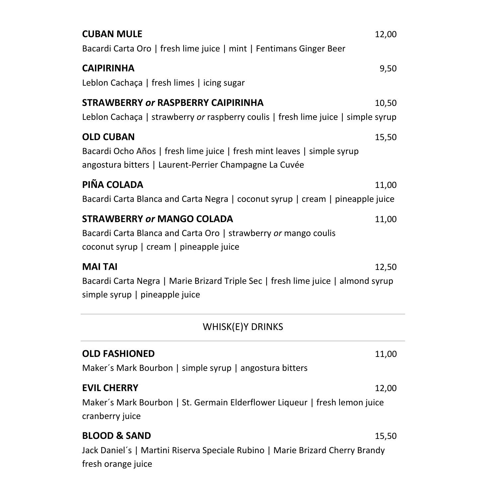| <b>CUBAN MULE</b>                                                                                                                 | 12,00 |
|-----------------------------------------------------------------------------------------------------------------------------------|-------|
| Bacardi Carta Oro   fresh lime juice   mint   Fentimans Ginger Beer                                                               |       |
| <b>CAIPIRINHA</b>                                                                                                                 | 9,50  |
| Leblon Cachaça   fresh limes   icing sugar                                                                                        |       |
| STRAWBERRY or RASPBERRY CAIPIRINHA                                                                                                | 10,50 |
| Leblon Cachaça   strawberry or raspberry coulis   fresh lime juice   simple syrup                                                 |       |
| <b>OLD CUBAN</b>                                                                                                                  | 15,50 |
| Bacardi Ocho Años   fresh lime juice   fresh mint leaves   simple syrup<br>angostura bitters   Laurent-Perrier Champagne La Cuvée |       |
| PIÑA COLADA                                                                                                                       | 11,00 |
| Bacardi Carta Blanca and Carta Negra   coconut syrup   cream   pineapple juice                                                    |       |
| <b>STRAWBERRY or MANGO COLADA</b>                                                                                                 | 11,00 |
| Bacardi Carta Blanca and Carta Oro   strawberry or mango coulis<br>coconut syrup   cream   pineapple juice                        |       |
| <b>MAI TAI</b>                                                                                                                    | 12,50 |
| Bacardi Carta Negra   Marie Brizard Triple Sec   fresh lime juice   almond syrup<br>simple syrup   pineapple juice                |       |
| <b>WHISK(E)Y DRINKS</b>                                                                                                           |       |
| <b>OLD FASHIONED</b>                                                                                                              | 11,00 |
| Maker's Mark Bourbon   simple syrup   angostura bitters                                                                           |       |
| <b>EVIL CHERRY</b>                                                                                                                | 12,00 |
| Maker's Mark Bourbon   St. Germain Elderflower Liqueur   fresh lemon juice<br>cranberry juice                                     |       |
| <b>BLOOD &amp; SAND</b>                                                                                                           | 15,50 |
| Jack Daniel's   Martini Riserva Speciale Rubino   Marie Brizard Cherry Brandy<br>fresh orange juice                               |       |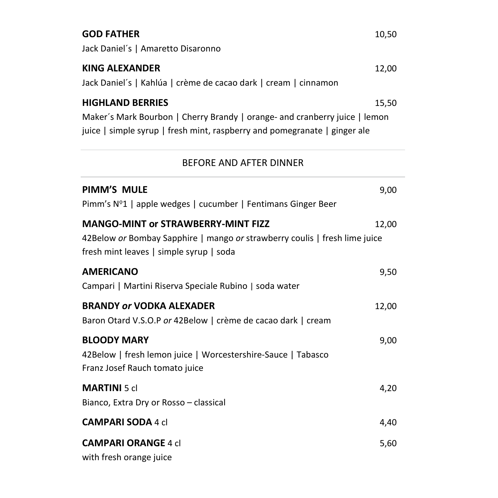| <b>GOD FATHER</b><br>Jack Daniel's   Amaretto Disaronno                                                                                                                                     | 10,50 |
|---------------------------------------------------------------------------------------------------------------------------------------------------------------------------------------------|-------|
| <b>KING ALEXANDER</b><br>Jack Daniel's   Kahlúa   crème de cacao dark   cream   cinnamon                                                                                                    | 12,00 |
| <b>HIGHLAND BERRIES</b><br>15,50<br>Maker's Mark Bourbon   Cherry Brandy   orange- and cranberry juice   lemon<br>juice   simple syrup   fresh mint, raspberry and pomegranate   ginger ale |       |
| BEFORE AND AFTER DINNER                                                                                                                                                                     |       |
| <b>PIMM'S MULE</b><br>Pimm's Nº1   apple wedges   cucumber   Fentimans Ginger Beer                                                                                                          | 9,00  |
| <b>MANGO-MINT or STRAWBERRY-MINT FIZZ</b><br>42Below or Bombay Sapphire   mango or strawberry coulis   fresh lime juice<br>fresh mint leaves   simple syrup   soda                          | 12,00 |
| <b>AMERICANO</b><br>Campari   Martini Riserva Speciale Rubino   soda water                                                                                                                  | 9.50  |

**BRANDY** *or* **VODKA ALEXADER** 12,00 Baron Otard V.S.O.P *or* 42Below | crème de cacao dark | cream **BLOODY MARY** 9,00 42Below | fresh lemon juice | Worcestershire-Sauce | Tabasco Franz Josef Rauch tomato juice **MARTINI** 5 cl 4,20 Bianco, Extra Dry or Rosso – classical **CAMPARI SODA** 4 cl 4,40 **CAMPARI ORANGE** 4 cl 5,60

with fresh orange juice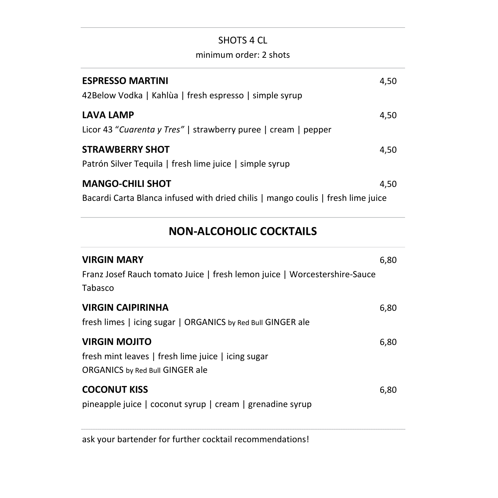## SHOTS 4 CL

#### minimum order: 2 shots

| <b>ESPRESSO MARTINI</b><br>42Below Vodka   Kahlùa   fresh espresso   simple syrup                           | 4,50 |
|-------------------------------------------------------------------------------------------------------------|------|
| <b>LAVA LAMP</b><br>Licor 43 "Cuarenta y Tres"   strawberry puree   cream   pepper                          | 4,50 |
| <b>STRAWBERRY SHOT</b><br>Patrón Silver Tequila   fresh lime juice   simple syrup                           | 4,50 |
| <b>MANGO-CHILI SHOT</b><br>Bacardi Carta Blanca infused with dried chilis   mango coulis   fresh lime juice | 4.50 |

## **NON-ALCOHOLIC COCKTAILS**

| <b>VIRGIN MARY</b><br>Franz Josef Rauch tomato Juice   fresh lemon juice   Worcestershire-Sauce<br>Tabasco           | 6,80 |
|----------------------------------------------------------------------------------------------------------------------|------|
| <b>VIRGIN CAIPIRINHA</b><br>fresh limes   icing sugar   ORGANICS by Red Bull GINGER ale                              | 6,80 |
| <b>VIRGIN MOJITO</b><br>fresh mint leaves   fresh lime juice   icing sugar<br><b>ORGANICS</b> by Red Bull GINGER ale | 6,80 |
| <b>COCONUT KISS</b><br>pineapple juice   coconut syrup   cream   grenadine syrup                                     | 6,80 |

ask your bartender for further cocktail recommendations!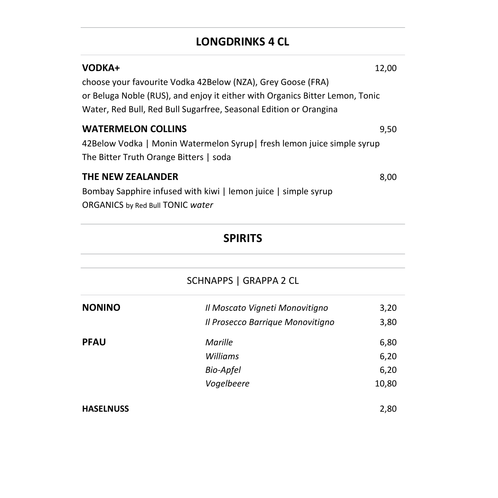## **LONGDRINKS 4 CL**

| <b>VODKA+</b>                                                                | 12.00 |
|------------------------------------------------------------------------------|-------|
| choose your favourite Vodka 42Below (NZA), Grey Goose (FRA)                  |       |
| or Beluga Noble (RUS), and enjoy it either with Organics Bitter Lemon, Tonic |       |
| Water, Red Bull, Red Bull Sugarfree, Seasonal Edition or Orangina            |       |
| <b>WATERMELON COLLINS</b>                                                    | 9.50  |
| 42Below Vodka   Monin Watermelon Syrup  fresh lemon juice simple syrup       |       |
| The Bitter Truth Orange Bitters   soda                                       |       |
| THE NEW ZEALANDER                                                            | 8.00  |
| Bombay Sapphire infused with kiwi   lemon juice   simple syrup               |       |
| ORGANICS by Red Bull TONIC water                                             |       |
|                                                                              |       |

# **SPIRITS** SCHNAPPS | GRAPPA 2 CL **NONINO** *Il Moscato Vigneti Monovitigno* 3,20 *Il Prosecco Barrique Monovitigno* 3,80 **PFAU** *Marille* 6,80 *Williams* 6,20 *Bio-Apfel* 6,20 *Vogelbeere* 10,80 **HASELNUSS** 2,80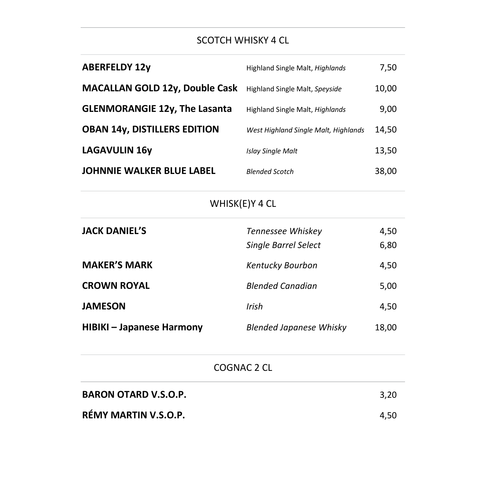### SCOTCH WHISKY 4 CL

| <b>ABERFELDY 12y</b>                  | Highland Single Malt, Highlands      | 7,50  |
|---------------------------------------|--------------------------------------|-------|
| <b>MACALLAN GOLD 12y, Double Cask</b> | Highland Single Malt, Speyside       | 10,00 |
| <b>GLENMORANGIE 12y, The Lasanta</b>  | Highland Single Malt, Highlands      | 9,00  |
| <b>OBAN 14y, DISTILLERS EDITION</b>   | West Highland Single Malt, Highlands | 14,50 |
| <b>LAGAVULIN 16y</b>                  | <b>Islay Single Malt</b>             | 13,50 |
| <b>JOHNNIE WALKER BLUE LABEL</b>      | <b>Blended Scotch</b>                | 38,00 |
| WHISK(E)Y 4 CL                        |                                      |       |
| <b>JACK DANIEL'S</b>                  | Tennessee Whiskey                    | 4,50  |
|                                       | <b>Single Barrel Select</b>          | 6,80  |
| <b>MAKER'S MARK</b>                   | Kentucky Bourbon                     | 4,50  |
| <b>CROWN ROYAL</b>                    | <b>Blended Canadian</b>              | 5,00  |
| <b>JAMESON</b>                        | Irish                                | 4,50  |
| <b>HIBIKI-Japanese Harmony</b>        | <b>Blended Japanese Whisky</b>       | 18,00 |
| COGNAC 2 CL                           |                                      |       |
| <b>BARON OTARD V.S.O.P.</b>           |                                      | 3,20  |
| RÉMY MARTIN V.S.O.P.                  |                                      | 4,50  |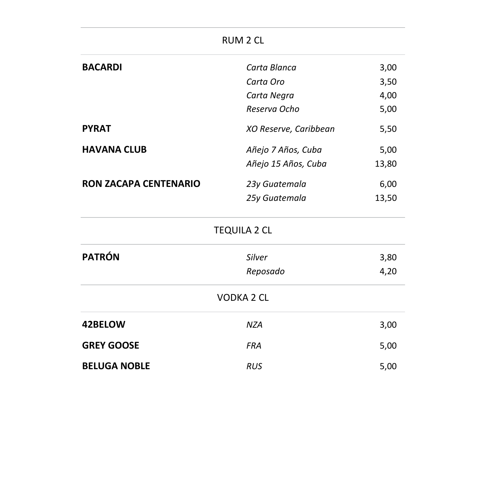|                              | <b>RUM 2 CL</b>       |       |
|------------------------------|-----------------------|-------|
| <b>BACARDI</b>               | Carta Blanca          | 3,00  |
|                              | Carta Oro             | 3,50  |
|                              | Carta Negra           | 4,00  |
|                              | Reserva Ocho          | 5,00  |
| <b>PYRAT</b>                 | XO Reserve, Caribbean | 5,50  |
| <b>HAVANA CLUB</b>           | Añejo 7 Años, Cuba    | 5,00  |
|                              | Añejo 15 Años, Cuba   | 13,80 |
| <b>RON ZACAPA CENTENARIO</b> | 23y Guatemala         | 6,00  |
|                              | 25y Guatemala         | 13,50 |
|                              | <b>TEQUILA 2 CL</b>   |       |
| <b>PATRÓN</b>                | Silver                | 3,80  |
|                              | Reposado              | 4,20  |
|                              | <b>VODKA 2 CL</b>     |       |
| 42BELOW                      | <b>NZA</b>            | 3,00  |
| <b>GREY GOOSE</b>            | <b>FRA</b>            | 5,00  |
| <b>BELUGA NOBLE</b>          | <b>RUS</b>            | 5,00  |